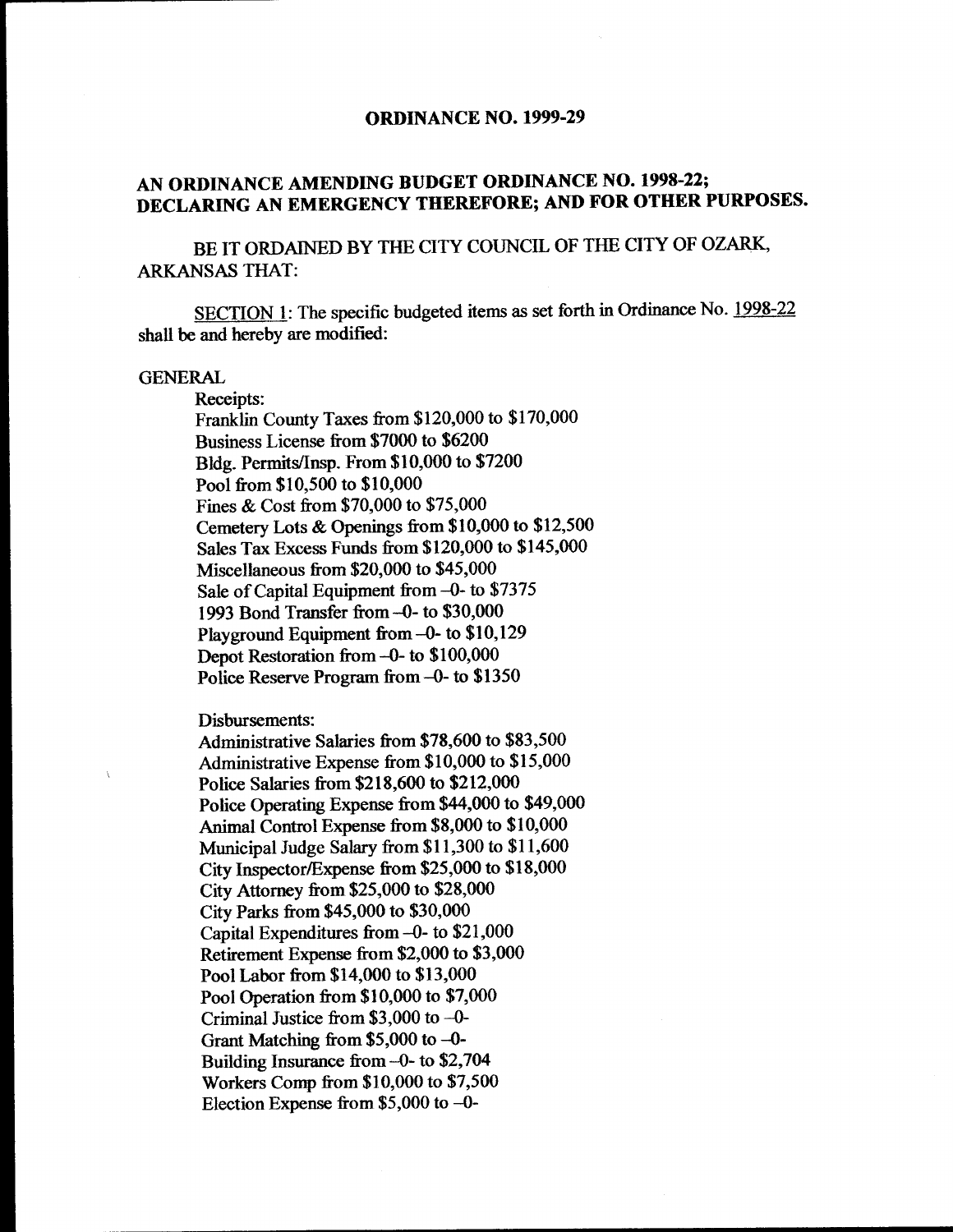### **ORDINANCE NO. 1999-29**

# AN ORDINANCE AMENDING BUDGET ORDINANCE NO. 1998-22; DECLARING AN EMERGENCY THEREFORE; AND FOR OTHER PURPOSES.

BE IT ORDAINED BY THE CITY COUNCIL OF THE CITY OF OZARK, ARKANSAS THAT:

SECTION 1: The specific budgeted items as set forth in Ordinance No. 1998-22 shall be and hereby are modified:

## GENERAL

Receipts: Franklin County Taxes from \$120,000 to \$170,000 Business License from \$7000 to \$6200 Bldg. Permits/Insp. From \$10,000 to \$7200 Pool from \$10,500 to \$10,000 Fines & Cost from \$70,000 to \$75,000 Cemetery Lots & Openings from \$10,000 to \$12,500 Sales Tax Excess Funds from \$120,000 to \$145,000 Miscellaneous from  $$20,000$  to  $$45,000$ Sale of Capital Equipment from -0- to \$7375 1993 Bond Transfer from -0- to \$30,000 Playground Equipment from -0- to \$10,129 Depot Restoration from -0- to \$100,000 Police Reserve Program from  $-0$ - to \$1350

Disbursements:

Administrative Salaries from \$78,600 to \$83,500 Administrative Expense from \$10,000 to \$15,000 Police Salaries from \$218,600 to \$212,000 Police Operating Expense from \$44,000 to \$49,000 Animal Control Expense from \$8,000 to \$10,000 Municipal Judge Salary from \$11,300 to \$11,600 City Inspector/Expense from  $$25,000$  to  $$18,000$ City Attorney from \$25,000 to \$28,000 City Parks from \$45,000 to \$30,000 Capital Expenditures from  $-0$ - to \$21,000 Retirement Expense from \$2,000 to \$3,000 Pool Labor from \$14,000 to \$13,000 Pool Operation from \$10,000 to \$7,000 Criminal Justice from  $$3,000$  to -0-Grant Matching from  $$5,000$  to -0-Building Insurance from  $-0$ - to \$2,704 Workers Comp from\$ 10, 000 to \$7,500 Election Expense from  $$5,000$  to -0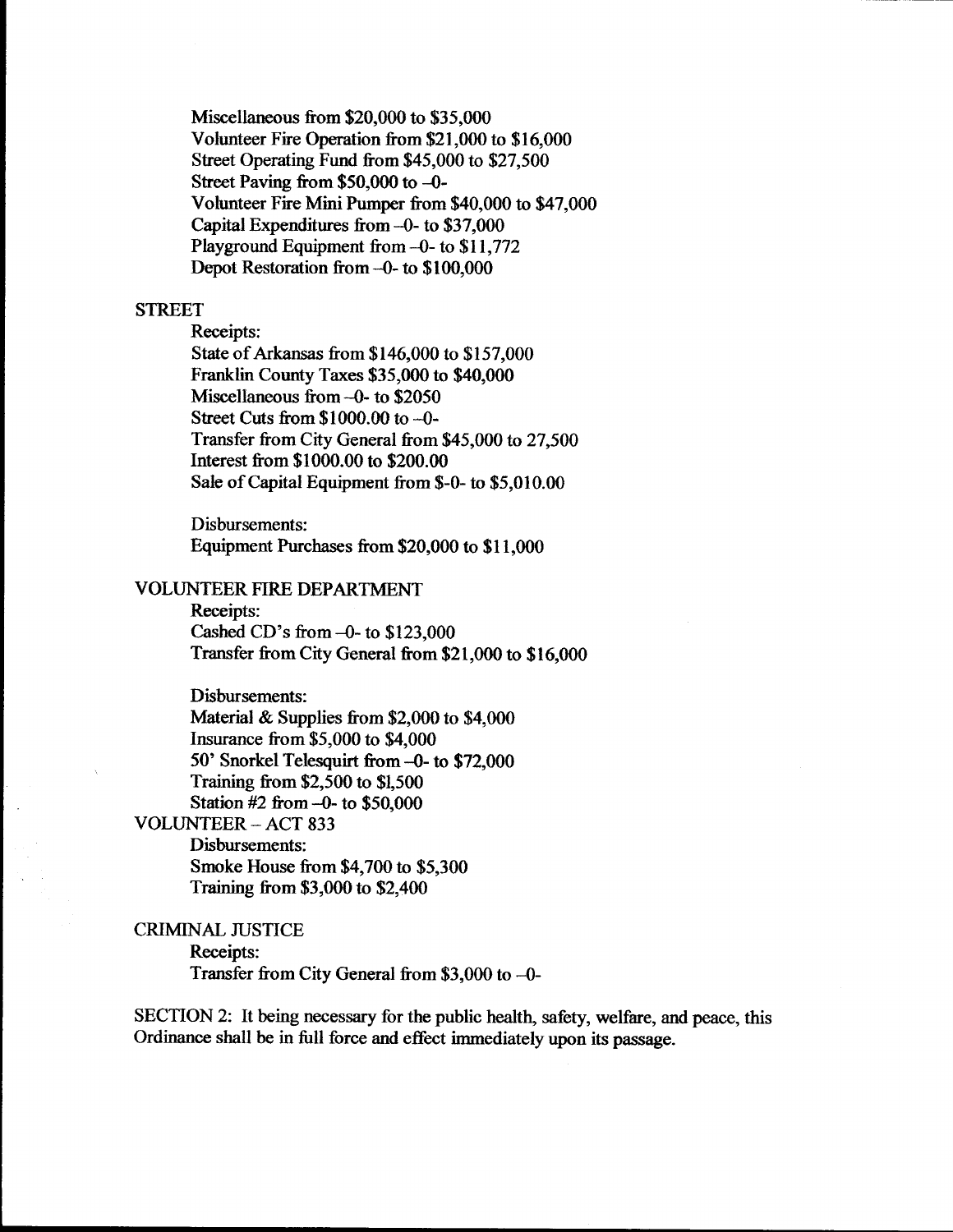Miscellaneous from \$20,000 to \$35,000 Volunteer Fire Operation from \$21,000 to \$16,000 Street Operating Fund from \$45,000 to \$27,500 Street Paving from  $$50,000$  to  $-0$ -Volunteer Fire Mini Pumper from \$40,000 to \$47,000 Capital Expenditures from  $-0$ - to \$37,000 Playground Equipment from -0- to \$11,772 Depot Restoration from -0- to \$100,000

## **STREET**

Receipts: State of Arkansas from \$146,000 to \$157,000 Franklin County Taxes \$35,000 to \$40,000 Miscellaneous from  $-0$ - to \$2050 Street Cuts from \$1000.00 to -0-Transfer from City General from\$ 45,000 to 27,500 Interest from \$1000.00 to \$200.00 Sale of Capital Equipment from \$-0- to \$5,010.00

Disbursements: Equipment Purchases from \$20,000 to \$11,000

### VOLUNTEER FIRE DEPARTMENT

Receipts: Cashed CD's from  $-0$ - to \$123,000 Transfer from City General from\$ 21, 000 to \$ 16, 000

Disbursements: Material  $&$  Supplies from \$2,000 to \$4,000 Insurance from\$ 5, 000 to \$4,000 50' Snorkel Telesquirt from -0- to \$72,000 Training from\$ 2,500 to \$1, 500 Station  $#2$  from  $-0$ - to \$50,000 VOLUNTEER- ACT 833 Disbursements:

Smoke House from \$4,700 to \$5,300 Training from\$ 3, 000 to \$2,400

CRIMINAL JUSTICE Receipts: Transfer from City General from  $$3,000$  to -0-

SECTION 2: It being necessary for the public health, safety, welfare, and peace, this Ordinance shall be in full force and effect immediately upon its passage.